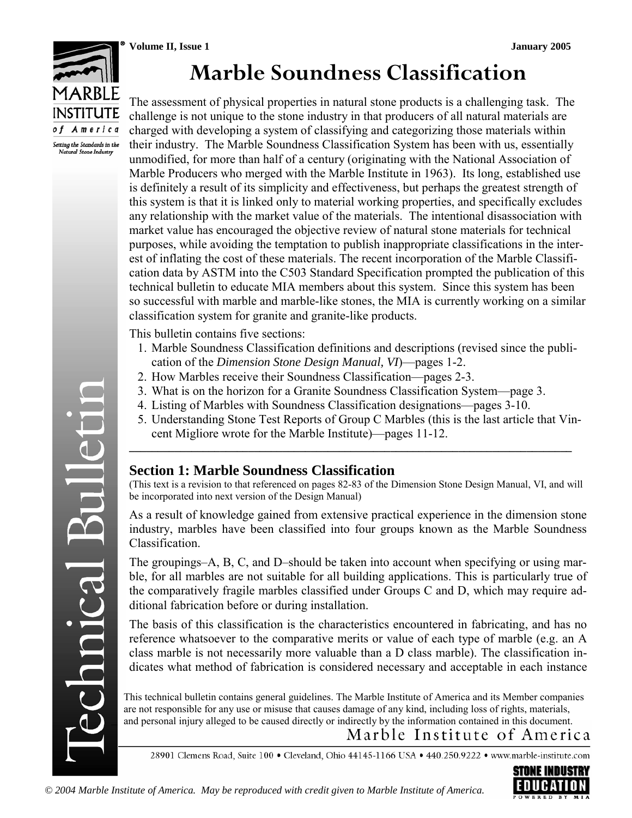

# **Marble Soundness Classification**

The assessment of physical properties in natural stone products is a challenging task. The challenge is not unique to the stone industry in that producers of all natural materials are charged with developing a system of classifying and categorizing those materials within their industry. The Marble Soundness Classification System has been with us, essentially unmodified, for more than half of a century (originating with the National Association of Marble Producers who merged with the Marble Institute in 1963). Its long, established use is definitely a result of its simplicity and effectiveness, but perhaps the greatest strength of this system is that it is linked only to material working properties, and specifically excludes any relationship with the market value of the materials. The intentional disassociation with market value has encouraged the objective review of natural stone materials for technical purposes, while avoiding the temptation to publish inappropriate classifications in the interest of inflating the cost of these materials. The recent incorporation of the Marble Classification data by ASTM into the C503 Standard Specification prompted the publication of this technical bulletin to educate MIA members about this system. Since this system has been so successful with marble and marble-like stones, the MIA is currently working on a similar classification system for granite and granite-like products.

This bulletin contains five sections:

- 1. Marble Soundness Classification definitions and descriptions (revised since the publication of the *Dimension Stone Design Manual, VI*)—pages 1-2.
- 2. How Marbles receive their Soundness Classification—pages 2-3.
- 3. What is on the horizon for a Granite Soundness Classification System—page 3.
- 4. Listing of Marbles with Soundness Classification designations—pages 3-10.
- 5. Understanding Stone Test Reports of Group C Marbles (this is the last article that Vincent Migliore wrote for the Marble Institute)—pages 11-12.

**\_\_\_\_\_\_\_\_\_\_\_\_\_\_\_\_\_\_\_\_\_\_\_\_\_\_\_\_\_\_\_\_\_\_\_\_\_\_\_\_\_\_\_\_\_\_\_\_\_\_\_\_\_\_\_\_\_\_\_\_\_\_\_\_\_\_\_\_\_\_\_\_\_\_\_\_\_\_** 

## **Section 1: Marble Soundness Classification**

(This text is a revision to that referenced on pages 82-83 of the Dimension Stone Design Manual, VI, and will be incorporated into next version of the Design Manual)

As a result of knowledge gained from extensive practical experience in the dimension stone industry, marbles have been classified into four groups known as the Marble Soundness Classification.

The groupings–A, B, C, and D–should be taken into account when specifying or using marble, for all marbles are not suitable for all building applications. This is particularly true of the comparatively fragile marbles classified under Groups C and D, which may require additional fabrication before or during installation.

The basis of this classification is the characteristics encountered in fabricating, and has no reference whatsoever to the comparative merits or value of each type of marble (e.g. an A class marble is not necessarily more valuable than a D class marble). The classification indicates what method of fabrication is considered necessary and acceptable in each instance

This technical bulletin contains general guidelines. The Marble Institute of America and its Member companies are not responsible for any use or misuse that causes damage of any kind, including loss of rights, materials, and personal injury alleged to be caused directly or indirectly by the information contained in this document.

Marble Institute of America

28901 Clemens Road, Suite 100 · Cleveland, Ohio 44145-1166 USA · 440.250.9222 · www.marble-institute.com

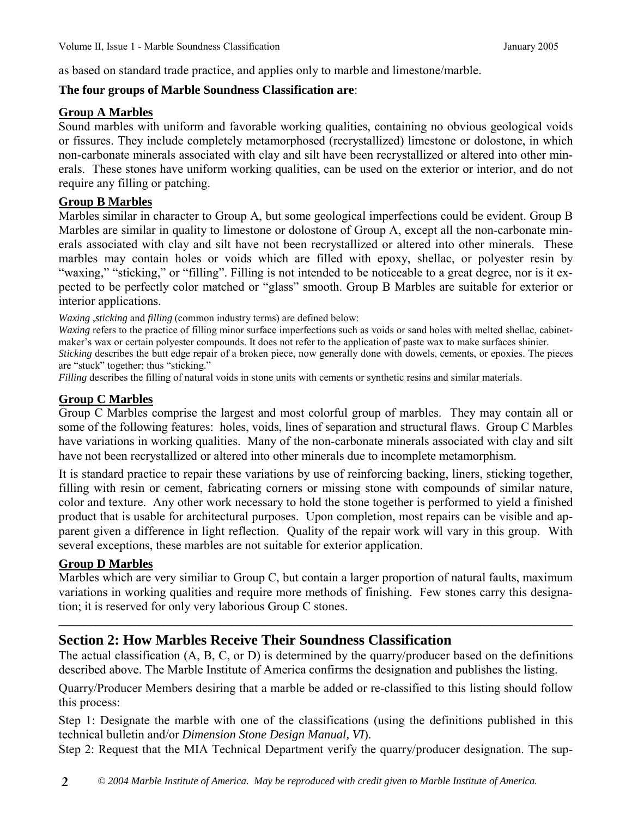as based on standard trade practice, and applies only to marble and limestone/marble.

### **The four groups of Marble Soundness Classification are**:

#### **Group A Marbles**

Sound marbles with uniform and favorable working qualities, containing no obvious geological voids or fissures. They include completely metamorphosed (recrystallized) limestone or dolostone, in which non-carbonate minerals associated with clay and silt have been recrystallized or altered into other minerals. These stones have uniform working qualities, can be used on the exterior or interior, and do not require any filling or patching.

### **Group B Marbles**

Marbles similar in character to Group A, but some geological imperfections could be evident. Group B Marbles are similar in quality to limestone or dolostone of Group A, except all the non-carbonate minerals associated with clay and silt have not been recrystallized or altered into other minerals. These marbles may contain holes or voids which are filled with epoxy, shellac, or polyester resin by "waxing," "sticking," or "filling". Filling is not intended to be noticeable to a great degree, nor is it expected to be perfectly color matched or "glass" smooth. Group B Marbles are suitable for exterior or interior applications.

*Waxing* ,*sticking* and *filling* (common industry terms) are defined below:

*Waxing* refers to the practice of filling minor surface imperfections such as voids or sand holes with melted shellac, cabinetmaker's wax or certain polyester compounds. It does not refer to the application of paste wax to make surfaces shinier.

*Sticking* describes the butt edge repair of a broken piece, now generally done with dowels, cements, or epoxies. The pieces are "stuck" together; thus "sticking."

*Filling* describes the filling of natural voids in stone units with cements or synthetic resins and similar materials.

## **Group C Marbles**

Group C Marbles comprise the largest and most colorful group of marbles. They may contain all or some of the following features: holes, voids, lines of separation and structural flaws. Group C Marbles have variations in working qualities. Many of the non-carbonate minerals associated with clay and silt have not been recrystallized or altered into other minerals due to incomplete metamorphism.

It is standard practice to repair these variations by use of reinforcing backing, liners, sticking together, filling with resin or cement, fabricating corners or missing stone with compounds of similar nature, color and texture. Any other work necessary to hold the stone together is performed to yield a finished product that is usable for architectural purposes. Upon completion, most repairs can be visible and apparent given a difference in light reflection. Quality of the repair work will vary in this group. With several exceptions, these marbles are not suitable for exterior application.

### **Group D Marbles**

Marbles which are very similiar to Group C, but contain a larger proportion of natural faults, maximum variations in working qualities and require more methods of finishing. Few stones carry this designation; it is reserved for only very laborious Group C stones.

**\_\_\_\_\_\_\_\_\_\_\_\_\_\_\_\_\_\_\_\_\_\_\_\_\_\_\_\_\_\_\_\_\_\_\_\_\_\_\_\_\_\_\_\_\_\_\_\_\_\_\_\_\_\_\_\_\_\_\_\_\_\_\_\_\_\_\_\_\_\_\_\_\_\_\_\_\_\_\_\_\_\_\_** 

## **Section 2: How Marbles Receive Their Soundness Classification**

The actual classification (A, B, C, or D) is determined by the quarry/producer based on the definitions described above. The Marble Institute of America confirms the designation and publishes the listing.

Quarry/Producer Members desiring that a marble be added or re-classified to this listing should follow this process:

Step 1: Designate the marble with one of the classifications (using the definitions published in this technical bulletin and/or *Dimension Stone Design Manual, VI*).

Step 2: Request that the MIA Technical Department verify the quarry/producer designation. The sup-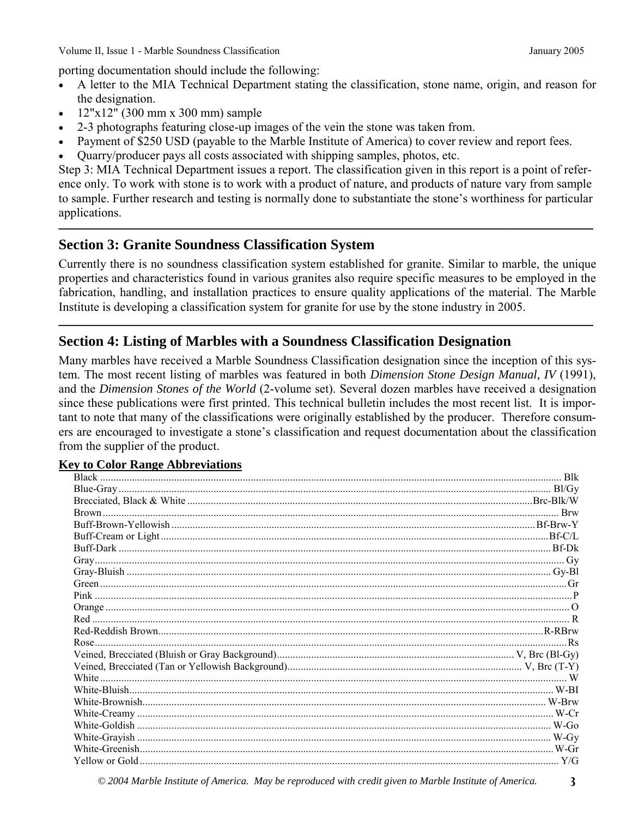Volume II, Issue 1 - Marble Soundness Classification January 2005

porting documentation should include the following:

- A letter to the MIA Technical Department stating the classification, stone name, origin, and reason for the designation.
- 12"x12" (300 mm x 300 mm) sample
- 2-3 photographs featuring close-up images of the vein the stone was taken from.
- Payment of \$250 USD (payable to the Marble Institute of America) to cover review and report fees.
- Quarry/producer pays all costs associated with shipping samples, photos, etc.

Step 3: MIA Technical Department issues a report. The classification given in this report is a point of reference only. To work with stone is to work with a product of nature, and products of nature vary from sample to sample. Further research and testing is normally done to substantiate the stone's worthiness for particular applications.

**—————————————————————————————————————** 

## **Section 3: Granite Soundness Classification System**

Currently there is no soundness classification system established for granite. Similar to marble, the unique properties and characteristics found in various granites also require specific measures to be employed in the fabrication, handling, and installation practices to ensure quality applications of the material. The Marble Institute is developing a classification system for granite for use by the stone industry in 2005.

**—————————————————————————————————————** 

## **Section 4: Listing of Marbles with a Soundness Classification Designation**

Many marbles have received a Marble Soundness Classification designation since the inception of this system. The most recent listing of marbles was featured in both *Dimension Stone Design Manual, IV* (1991), and the *Dimension Stones of the World* (2-volume set). Several dozen marbles have received a designation since these publications were first printed. This technical bulletin includes the most recent list. It is important to note that many of the classifications were originally established by the producer. Therefore consumers are encouraged to investigate a stone's classification and request documentation about the classification from the supplier of the product.

#### **Key to Color Range Abbreviations**

*© 2004 Marble Institute of America. May be reproduced with credit given to Marble Institute of America.* **3**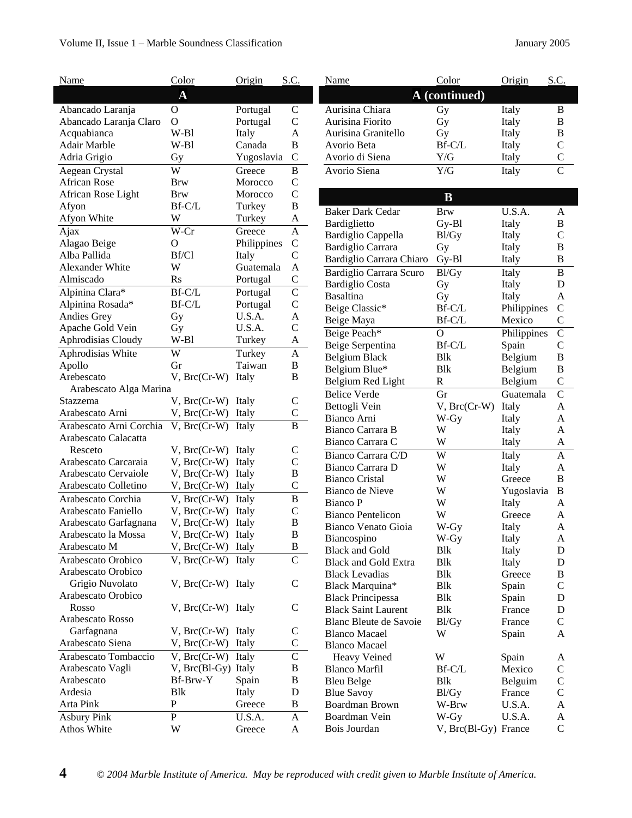#### Volume II, Issue 1 – Marble Soundness Classification January 2005

| Name                                     | Color                                         | Origin      | S.C.                         | Name                          | Color                | Origin      | S.C.                  |
|------------------------------------------|-----------------------------------------------|-------------|------------------------------|-------------------------------|----------------------|-------------|-----------------------|
|                                          | $\overline{\mathbf{A}}$                       |             |                              |                               | A (continued)        |             |                       |
| Abancado Laranja                         | $\mathbf O$                                   | Portugal    | $\mathbf C$                  | Aurisina Chiara               | Gy                   | Italy       | $\mathbf B$           |
| Abancado Laranja Claro                   | $\Omega$                                      | Portugal    | $\mathbf C$                  | Aurisina Fiorito              | Gy                   | Italy       | $\, {\bf B}$          |
| Acquabianca                              | W-Bl                                          | Italy       | A                            | Aurisina Granitello           | Gy                   | Italy       | $\, {\bf B}$          |
| Adair Marble                             | $W-B1$                                        | Canada      | $\, {\bf B}$                 | Avorio Beta                   | Bf-C/L               | Italy       | $\mathcal{C}$         |
| Adria Grigio                             | Gy                                            | Yugoslavia  | $\mathbf C$                  | Avorio di Siena               | Y/G                  | Italy       | $\mathbf C$           |
| Aegean Crystal                           | W                                             | Greece      | $\bf{B}$                     | Avorio Siena                  | Y/G                  | Italy       | $\overline{C}$        |
| <b>African Rose</b>                      | Brw                                           | Morocco     | $\mathsf C$                  |                               |                      |             |                       |
| African Rose Light                       | <b>Brw</b>                                    | Morocco     | $\mathbf C$                  |                               | $\bf{B}$             |             |                       |
| Afyon                                    | Bf-C/L                                        | Turkey      | $\, {\bf B}$                 |                               |                      |             |                       |
| Afyon White                              | W                                             | Turkey      | A                            | <b>Baker Dark Cedar</b>       | <b>Brw</b>           | U.S.A.      | A                     |
| Ajax                                     | W-Cr                                          | Greece      | A                            | Bardiglietto                  | $Gy-B1$              | Italy       | $\bf{B}$              |
| Alagao Beige                             | $\overline{O}$                                | Philippines | $\mathbf C$                  | Bardiglio Cappella            | Bl/Gy                | Italy       | $\mathsf{C}$          |
| Alba Pallida                             | Bf/Cl                                         | Italy       | $\mathbf C$                  | <b>Bardiglio Carrara</b>      | Gy                   | Italy       | $\, {\bf B}$          |
| Alexander White                          | W                                             | Guatemala   | $\mathbf{A}$                 | Bardiglio Carrara Chiaro      | Gy-Bl                | Italy       | $\, {\bf B}$          |
| Almiscado                                | <b>Rs</b>                                     | Portugal    | $\mathsf{C}$                 | Bardiglio Carrara Scuro       | Bl/Gy                | Italy       | $\, {\bf B}$          |
| Alpinina Clara*                          | Bf-C/L                                        | Portugal    | $\overline{C}$               | <b>Bardiglio</b> Costa        | Gy                   | Italy       | ${\bf D}$             |
| Alpinina Rosada*                         | Bf-C/L                                        | Portugal    | $\mathsf C$                  | <b>Basaltina</b>              | Gy                   | Italy       | $\mathbf{A}$          |
| Andies Grey                              | Gy                                            | U.S.A.      | $\boldsymbol{\rm{A}}$        | Beige Classic*                | Bf-C/L               | Philippines | $\mathcal{C}$         |
| Apache Gold Vein                         | Gy                                            | U.S.A.      | $\mathsf{C}$                 | Beige Maya                    | $Bf-C/L$             | Mexico      | $\mathcal{C}$         |
| Aphrodisias Cloudy                       | $W-B1$                                        | Turkey      | A                            | Beige Peach*                  | $\mathbf{O}$         | Philippines | $\overline{C}$        |
| Aphrodisias White                        | W                                             | Turkey      | $\boldsymbol{A}$             | Beige Serpentina              | Bf-C/L               | Spain       | $\mathcal{C}$         |
|                                          | Gr                                            | Taiwan      | $\, {\bf B}$                 | <b>Belgium Black</b>          | <b>Blk</b>           | Belgium     | $\bf{B}$              |
| Apollo<br>Arebescato                     | V, Brc(Cr-W) Italy                            |             | $\, {\bf B}$                 | Belgium Blue*                 | <b>Blk</b>           | Belgium     | $\bf{B}$              |
| Arabescato Alga Marina                   |                                               |             |                              | Belgium Red Light             | $\mathbf R$          | Belgium     | $\mathbf C$           |
| Stazzema                                 | V, Brc(Cr-W) Italy                            |             | $\mathsf{C}$                 | <b>Belice Verde</b>           | Gr                   | Guatemala   | $\overline{C}$        |
| Arabescato Arni                          | V, Brc(Cr-W) Italy                            |             | $\mathbf C$                  | Bettogli Vein                 | $V$ , $Brc(Cr-W)$    | Italy       | A                     |
| Arabescato Arni Corchia                  | V, Brc(Cr-W) Italy                            |             | B                            | Bianco Arni                   | W-Gy                 | Italy       | A                     |
| Arabescato Calacatta                     |                                               |             |                              | Bianco Carrara B              | W                    | Italy       | A                     |
| Resceto                                  | V, Brc(Cr-W) Italy                            |             |                              | Bianco Carrara C              | W                    | Italy       | A                     |
| Arabescato Carcaraia                     | V, Brc(Cr-W) Italy                            |             | $\mathbf C$<br>$\mathsf{C}$  | Bianco Carrara C/D            | W                    | Italy       | $\mathbf{A}$          |
| Arabescato Cervaiole                     | V, Brc(Cr-W) Italy                            |             | $\, {\bf B}$                 | Bianco Carrara D              | W                    | Italy       | A                     |
| Arabescato Colletino                     | V, Brc(Cr-W) Italy                            |             | $\mathbf C$                  | <b>Bianco Cristal</b>         | W                    | Greece      | $\bf{B}$              |
| Arabescato Corchia                       | V, Brc(Cr-W) Italy                            |             | B                            | Bianco de Nieve               | W                    | Yugoslavia  | $\bf{B}$              |
| Arabescato Faniello                      |                                               |             |                              | <b>Bianco</b> P               | W                    | Italy       | A                     |
| Arabescato Garfagnana                    | V, Brc(Cr-W) Italy                            |             | $\mathsf{C}$<br>$\, {\bf B}$ | <b>Bianco Pentelicon</b>      | W                    | Greece      | A                     |
| Arabescato la Mossa                      | $V$ , $Brc(Cr-W)$ Italy<br>V. Brc(Cr-W) Italy |             | B                            | Bianco Venato Gioia           | W-Gy                 | Italy       | A                     |
| Arabescato M                             | V, Brc(Cr-W) Italy                            |             | B                            | Biancospino                   | W-Gy                 | Italy       | $\boldsymbol{\rm{A}}$ |
|                                          |                                               |             | $\mathbf C$                  | <b>Black and Gold</b>         | Blk                  | Italy       | D                     |
| Arabescato Orobico<br>Arabescato Orobico | V, Brc(Cr-W) Italy                            |             |                              | <b>Black and Gold Extra</b>   | <b>Blk</b>           | Italy       | $\mathbf D$           |
|                                          |                                               |             | $\mathbf C$                  | <b>Black Levadias</b>         | <b>Blk</b>           | Greece      | $\, {\bf B}$          |
| Grigio Nuvolato<br>Arabescato Orobico    | V, Brc(Cr-W) Italy                            |             |                              | Black Marquina*               | <b>B</b> lk          | Spain       | $\mathcal{C}$         |
| Rosso                                    | V, Brc(Cr-W) Italy                            |             | $\mathsf{C}$                 | <b>Black Principessa</b>      | Blk                  | Spain       | D                     |
| Arabescato Rosso                         |                                               |             |                              | <b>Black Saint Laurent</b>    | <b>Blk</b>           | France      | $\mathbf D$           |
| Garfagnana                               | V, Brc(Cr-W) Italy                            |             | $\mathsf{C}$                 | Blanc Bleute de Savoie        | Bl/Gy                | France      | $\mathcal{C}$         |
| Arabescato Siena                         |                                               |             | ${\bf C}$                    | <b>Blanco Macael</b>          | W                    | Spain       | A                     |
|                                          | V, Brc(Cr-W) Italy                            |             | $\overline{C}$               | <b>Blanco Macael</b>          |                      |             |                       |
| Arabescato Tombaccio                     | V, Brc(Cr-W) Italy                            |             |                              | Heavy Veined                  | W                    | Spain       | A                     |
| Arabescato Vagli                         | V, Brc(Bl-Gy) Italy                           |             | $\, {\bf B}$                 | <b>Blanco Marfil</b>          | Bf-C/L               | Mexico      | $\mathsf{C}$          |
| Arabescato                               | Bf-Brw-Y<br>Blk                               | Spain       | B                            | <b>Bleu Belge</b>             | <b>B</b> lk          | Belguim     | $\mathsf{C}$          |
| Ardesia                                  |                                               | Italy       | $\mathbf D$                  | <b>Blue Savoy</b>             | Bl/Gy                | France      | $\mathcal{C}$         |
| Arta Pink                                | P                                             | Greece      | $\, {\bf B}$                 | Boardman Brown                | W-Brw                | U.S.A.      | A                     |
| <b>Asbury Pink</b>                       | $\overline{P}$                                | U.S.A.      | $\mathbf{A}$                 | Boardman Vein<br>Bois Jourdan | W-Gy                 | U.S.A.      | A<br>$\mathsf C$      |
| Athos White                              | W                                             | Greece      | $\mathbf{A}$                 |                               | V, Brc(Bl-Gy) France |             |                       |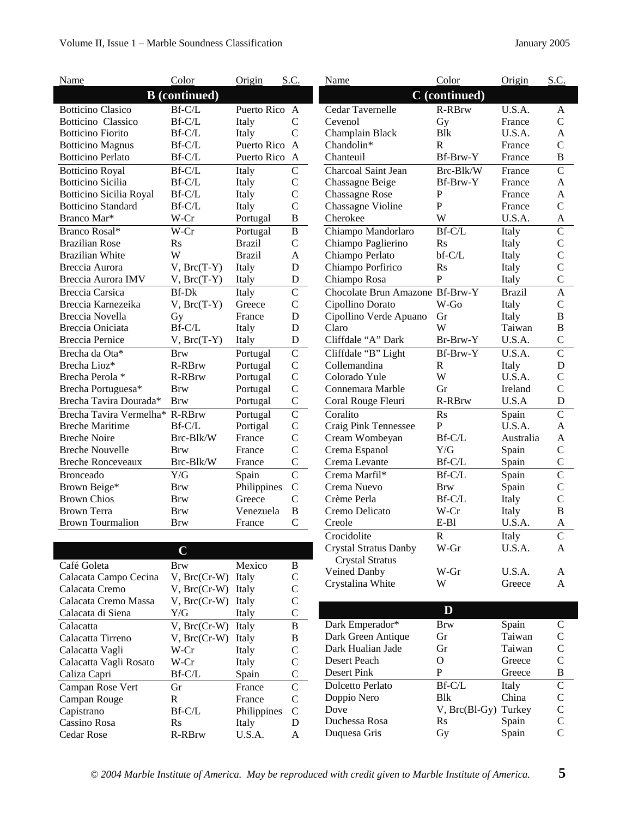| Name                           | Color                | Origin        | S.C.           | Name                                    | Color              | Origin           | S.C.                         |
|--------------------------------|----------------------|---------------|----------------|-----------------------------------------|--------------------|------------------|------------------------------|
|                                | <b>B</b> (continued) |               |                |                                         | C (continued)      |                  |                              |
| <b>Botticino Clasico</b>       | Bf-C/L               | Puerto Rico A |                | Cedar Tavernelle                        | R-RBrw             | U.S.A.           | A                            |
| <b>Botticino Classico</b>      | $Bf-C/L$             | Italy         | $\mathbf C$    | Cevenol                                 | Gy                 | France           | $\mathsf{C}$                 |
| <b>Botticino Fiorito</b>       | Bf-C/L               | Italy         | $\mathcal{C}$  | Champlain Black                         | <b>Blk</b>         | U.S.A.           | $\mathbf{A}$                 |
| <b>Botticino Magnus</b>        | Bf-C/L               | Puerto Rico A |                | Chandolin*                              | $\mathbb{R}$       | France           | $\mathsf{C}$                 |
| <b>Botticino Perlato</b>       | Bf-C/L               | Puerto Rico A |                | Chanteuil                               | Bf-Brw-Y           | France           | $\, {\bf B}$                 |
| <b>Botticino Royal</b>         | Bf-C/L               | Italy         | $\mathsf{C}$   | Charcoal Saint Jean                     | Brc-Blk/W          | France           | $\overline{C}$               |
| <b>Botticino Sicilia</b>       | Bf-C/L               | Italy         | $\mathbf C$    | Chassagne Beige                         | Bf-Brw-Y           | France           | $\boldsymbol{\mathsf{A}}$    |
| <b>Botticino Sicilia Royal</b> | Bf-C/L               | Italy         | $\mathbf C$    | <b>Chassagne Rose</b>                   | ${\bf P}$          | France           | $\mathbf{A}$                 |
| <b>Botticino Standard</b>      | Bf-C/L               | Italy         | $\mathbf C$    | Chassagne Violine                       | $\mathbf{P}$       | France           | $\mathcal{C}$                |
| Branco Mar*                    | W-Cr                 | Portugal      | $\, {\bf B}$   | Cherokee                                | W                  | U.S.A.           | A                            |
| Branco Rosal*                  | W-Cr                 | Portugal      | $\overline{B}$ | Chiampo Mandorlaro                      | $Bf-C/L$           | Italy            | $\overline{C}$               |
| <b>Brazilian Rose</b>          | R <sub>S</sub>       | <b>Brazil</b> | $\mathbf C$    | Chiampo Paglierino                      | R <sub>S</sub>     | Italy            | $\mathbf C$                  |
| <b>Brazilian White</b>         | W                    | <b>Brazil</b> | A              | Chiampo Perlato                         | bf-C/L             | Italy            | $\mathsf{C}$                 |
| Breccia Aurora                 | $V$ , $Brc(T-Y)$     | Italy         | $\mathbf D$    | Chiampo Porfirico                       | <b>Rs</b>          | Italy            | $\mathbf C$                  |
| Breccia Aurora IMV             | $V, Brc(T-Y)$        | Italy         | D              | Chiampo Rosa                            | $\mathbf P$        | Italy            | $\mathsf{C}$                 |
| <b>Breccia Carsica</b>         | <b>Bf-Dk</b>         | Italy         | $\overline{C}$ | Chocolate Brun Amazone Bf-Brw-Y         |                    | <b>Brazil</b>    | $\overline{A}$               |
| Breccia Karnezeika             | $V$ , $Brc(T-Y)$     | Greece        | $\mathbf C$    | Cipollino Dorato                        | W-Go               | Italy            | $\mathbf C$                  |
| Breccia Novella                | Gy                   | France        | $\mathbf D$    | Cipollino Verde Apuano                  | Gr                 | Italy            | $\, {\bf B}$                 |
| Breccia Oniciata               | Bf-C/L               | Italy         | $\mathbf D$    | Claro                                   | W                  | Taiwan           | $\, {\bf B}$                 |
| <b>Breccia Pernice</b>         | $V$ , $Brc(T-Y)$     | Italy         | $\mathbf D$    | Cliffdale "A" Dark                      | Br-Brw-Y           | U.S.A.           | $\mathbf C$                  |
| Brecha da Ota*                 | <b>Brw</b>           | Portugal      | $\mathcal{C}$  | Cliffdale "B" Light                     | Bf-Brw-Y           | U.S.A.           | $\overline{C}$               |
| Brecha Lioz*                   | R-RBrw               | Portugal      | $\mathbf C$    | Collemandina                            | $\mathbf R$        | Italy            | ${\bf D}$                    |
| Brecha Perola*                 | R-RBrw               | Portugal      | $\mathbf C$    | Colorado Yule                           | W                  | U.S.A.           | $\mathcal{C}$                |
| Brecha Portuguesa*             | <b>Brw</b>           | Portugal      | $\mathbf C$    | Connemara Marble                        | Gr                 | Ireland          | $\mathsf{C}$                 |
| Brecha Tavira Dourada*         | <b>Brw</b>           | Portugal      | $\mathsf C$    | Coral Rouge Fleuri                      | R-RBrw             | U.S.A            | $\mathbf D$                  |
| Brecha Tavira Vermelha* R-RBrw |                      | Portugal      | $\overline{C}$ | Coralito                                | Rs                 | Spain            | $\overline{C}$               |
| <b>Breche Maritime</b>         | Bf-C/L               | Portigal      | $\mathbf C$    | Craig Pink Tennessee                    | $\mathbf{P}$       | U.S.A.           | $\mathbf{A}$                 |
| <b>Breche Noire</b>            | Brc-Blk/W            | France        | $\mathsf{C}$   | Cream Wombeyan                          | $Bf-C/L$           | Australia        | $\mathbf{A}$                 |
| <b>Breche Nouvelle</b>         | <b>Brw</b>           | France        | $\mathbf C$    | Crema Espanol                           | $\rm Y/G$          | Spain            | $\mathbf C$                  |
| <b>Breche Ronceveaux</b>       | Brc-Blk/W            | France        | $\mathsf{C}$   | Crema Levante                           | Bf-C/L             | Spain            | $\mathbf C$                  |
| <b>Bronceado</b>               | Y/G                  | Spain         | $\mathbf C$    | Crema Marfil*                           | $Bf-C/L$           | Spain            | $\overline{C}$               |
| Brown Beige*                   | <b>Brw</b>           | Philippines   | $\mathbf C$    | Crema Nuevo                             | <b>Brw</b>         | Spain            | $\mathsf{C}$                 |
| <b>Brown Chios</b>             | <b>Brw</b>           | Greece        | $\mathcal{C}$  | Crème Perla                             | Bf-C/L             | Italy            | $\mathsf{C}$                 |
| <b>Brown Terra</b>             | <b>Brw</b>           | Venezuela     | $\, {\bf B}$   | Cremo Delicato                          | W-Cr               | Italy            | $\, {\bf B}$                 |
| <b>Brown Tourmalion</b>        | <b>Brw</b>           | France        | $\mathcal{C}$  | Creole                                  | $E-B1$             | U.S.A.           | $\mathbf{A}$                 |
|                                |                      |               |                | Crocidolite                             | ${\bf R}$          | Italy            | $\mathbf C$                  |
|                                | $\overline{C}$       |               |                | <b>Crystal Stratus Danby</b>            | W-Gr               | U.S.A.           | A                            |
|                                |                      |               |                | <b>Crystal Stratus</b>                  |                    |                  |                              |
| Café Goleta                    | <b>Brw</b>           | Mexico        | $\bf{B}$       | Veined Danby                            | W-Gr               | U.S.A.           | A                            |
| Calacata Campo Cecina          | $V$ , $Brc(Cr-W)$    | Italy         | $\mathbf C$    | Crystalina White                        | W                  | Greece           | $\mathbf{A}$                 |
| Calacata Cremo                 | $V, Brc(Cr-W)$       | Italy         | $\mathsf{C}$   |                                         |                    |                  |                              |
| Calacata Cremo Massa           | $V, Brc(Cr-W)$       | Italy         | $\mathcal{C}$  |                                         | D                  |                  |                              |
| Calacata di Siena              | Y/G                  | Italy         | $\mathcal{C}$  |                                         |                    |                  |                              |
| Calacatta                      | $V, Brc(Cr-W)$       | Italy         | $\mathbf B$    | Dark Emperador*                         | Brw                | Spain            | $\mathbf C$                  |
| Calacatta Tirreno              | $V, Brc(Cr-W)$       | Italy         | $\bf{B}$       | Dark Green Antique<br>Dark Hualian Jade | Gr                 | Taiwan<br>Taiwan | $\mathsf{C}$                 |
| Calacatta Vagli                | W-Cr                 | Italy         | $\mathbf C$    | Desert Peach                            | Gr<br>$\mathbf{O}$ | Greece           | $\mathsf C$<br>$\mathbf C$   |
| Calacatta Vagli Rosato         | W-Cr                 | Italy         | $\mathcal{C}$  |                                         | ${\bf P}$          |                  |                              |
| Caliza Capri                   | Bf-C/L               | Spain         | $\mathbf C$    | Desert Pink                             |                    | Greece           | $\, {\bf B}$                 |
| Campan Rose Vert               | Gr                   | France        | $\mathsf{C}$   | Dolcetto Perlato                        | Bf-C/L             | Italy            | $\mathbf C$                  |
| Campan Rouge                   | $\mathbf R$          | France        | $\mathbf C$    | Doppio Nero                             | <b>Blk</b>         | China            | $\mathbf C$                  |
| Capistrano                     | Bf-C/L               | Philippines   | $\mathbf C$    | Dove                                    | $V$ , Brc(Bl-Gy)   | Turkey           | $\mathbf C$                  |
| Cassino Rosa                   | R <sub>S</sub>       | Italy         | D              | Duchessa Rosa                           | Rs                 | Spain            | $\mathsf C$<br>$\mathcal{C}$ |
| Cedar Rose                     | R-RBrw               | U.S.A.        | $\mathbf{A}$   | Duquesa Gris                            | Gy                 | Spain            |                              |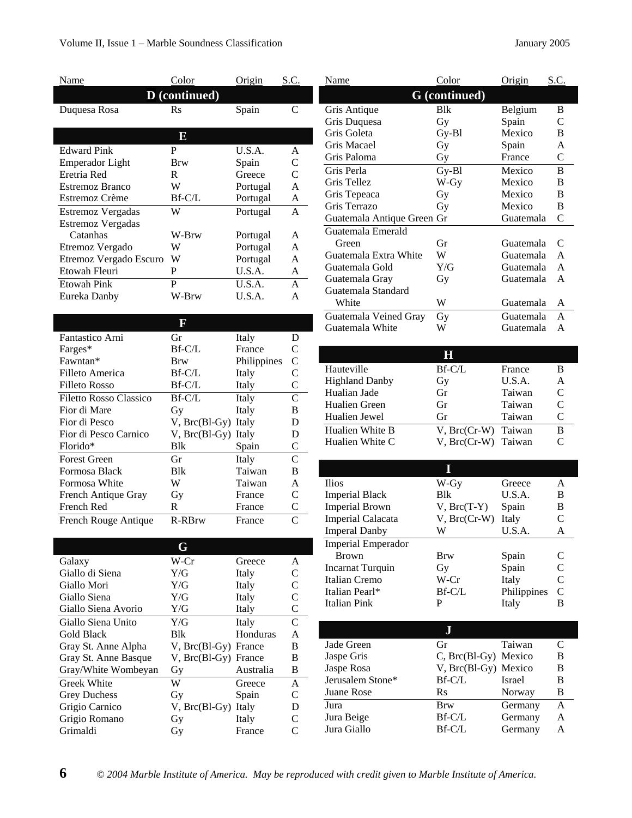| Name                                     | Color               | Origin   | S.C.               |
|------------------------------------------|---------------------|----------|--------------------|
|                                          | D (continued)       |          |                    |
| Duquesa Rosa                             | $\operatorname{Rs}$ | Spain    | C                  |
|                                          |                     |          |                    |
|                                          | E                   |          |                    |
| <b>Edward Pink</b>                       | P                   | U.S.A.   | A                  |
| <b>Emperador Light</b>                   | Brw                 | Spain    | C                  |
| Eretria Red                              | R                   | Greece   | C                  |
| Estremoz Branco                          | W                   | Portugal | A                  |
| Estremoz Crème                           | $Bf-C/L$            | Portugal | A                  |
| Estremoz Vergadas                        | W                   | Portugal | A                  |
| Estremoz Vergadas                        |                     |          |                    |
| Catanhas                                 | W-Brw               | Portugal | A                  |
| Etremoz Vergado                          | W                   | Portugal | A                  |
| Etremoz Vergado Escuro                   | W                   | Portugal | A                  |
| Etowah Fleuri                            | P                   | U.S.A.   | A                  |
| <b>Etowah Pink</b>                       | P                   | U.S.A.   | A                  |
| Eureka Danby                             | W-Brw               | U.S.A.   | A                  |
|                                          |                     |          |                    |
|                                          |                     |          |                    |
| $\lambda$ .<br>$\mathbf{r}$ $\mathbf{r}$ |                     | T. 1.    | $\mathbf{\bar{n}}$ |

| Fantastico Arni        | Gr                  | Italy       | D |
|------------------------|---------------------|-------------|---|
| Farges*                | Bf-C/L              | France      | C |
| Fawntan*               | Brw                 | Philippines | C |
| Filleto America        | $Bf-C/L$            | Italy       | C |
| Filleto Rosso          | $Bf-C/L$            | Italy       | C |
| Filetto Rosso Classico | $Bf-C/L$            | Italy       | C |
| Fior di Mare           | Gy                  | Italy       | B |
| Fior di Pesco          | V, Brc(Bl-Gy) Italy |             | D |
| Fior di Pesco Carnico  | V, Brc(Bl-Gy) Italy |             | D |
| Florido*               | Blk                 | Spain       | C |
| <b>Forest Green</b>    | Gr                  | Italy       | C |
| Formosa Black          | Blk                 | Taiwan      | B |
| Formosa White          | W                   | Taiwan      | A |
| French Antique Gray    | Gy                  | France      | C |
| French Red             | R                   | France      | C |
| French Rouge Antique   | <b>R-RBrw</b>       | France      | C |

|                      | G                    |           |   |
|----------------------|----------------------|-----------|---|
| Galaxy               | W-Cr                 | Greece    | A |
| Giallo di Siena      | Y/G                  | Italy     | C |
| Giallo Mori          | Y/G                  | Italy     | C |
| Giallo Siena         | Y/G                  | Italy     | C |
| Giallo Siena Avorio  | Y/G                  | Italy     | C |
| Giallo Siena Unito   | Y/G                  | Italy     | C |
| <b>Gold Black</b>    | <b>B</b> lk          | Honduras  | A |
| Gray St. Anne Alpha  | V, Brc(Bl-Gy) France |           | B |
| Gray St. Anne Basque | V, Brc(Bl-Gy) France |           | B |
| Gray/White Wombeyan  | Gy                   | Australia | B |
| <b>Greek White</b>   | W                    | Greece    | A |
| <b>Grey Duchess</b>  | Gy                   | Spain     | C |
| Grigio Carnico       | $V$ , $Brc(B1-Gy)$   | Italy     | D |
| Grigio Romano        | Gy                   | Italy     | C |
| Grimaldi             | Ĵγ                   | France    |   |

| Name                       | Color                   | Origin            | S.C.               |
|----------------------------|-------------------------|-------------------|--------------------|
|                            | <b>G</b> (continued)    |                   |                    |
| Gris Antique               | <b>B</b> lk             | Belgium           | В                  |
| Gris Duquesa               | Gy                      | Spain             | C                  |
| Gris Goleta                | Gy-Bl                   | Mexico            | B                  |
| Gris Macael                | Gу                      | Spain             | A                  |
| Gris Paloma                | Gy                      | France            | C                  |
| Gris Perla                 | Gy-Bl                   | Mexico            | B                  |
| Gris Tellez                | W-Gy                    | Mexico            | B                  |
| Gris Tepeaca               | Gy                      | Mexico            | B                  |
| Gris Terrazo               | Gy                      | Mexico            | B                  |
| Guatemala Antique Green Gr |                         | Guatemala         | $\overline{C}$     |
| Guatemala Emerald          |                         |                   |                    |
| Green                      | Gr                      | Guatemala         | С                  |
| Guatemala Extra White      | W                       | Guatemala         | A                  |
| Guatemala Gold             | Y/G                     | Guatemala         | $\mathsf{A}$       |
| Guatemala Gray             | Gy                      | Guatemala         | A                  |
| Guatemala Standard         |                         |                   |                    |
| White                      | W                       | Guatemala         | A                  |
| Guatemala Veined Gray      | Gy                      | Guatemala         | A                  |
| Guatemala White            | W                       | Guatemala         | A                  |
|                            |                         |                   |                    |
|                            | $\overline{\mathbf{H}}$ |                   |                    |
| Hauteville                 | Bf-C/L                  | France            | B                  |
| <b>Highland Danby</b>      | Gy                      | U.S.A.            | A                  |
| Hualian Jade               | Gr                      | Taiwan            | $\mathcal{C}$      |
| Hualien Green              | Gr                      | Taiwan            | $\overline{C}$     |
| Hualien Jewel              | Gr                      | Taiwan            | $\mathcal{C}$      |
| Hualien White B            | $V$ , $Brc(Cr-W)$       | Taiwan            | B                  |
| Hualien White C            | $V$ , $Brc(Cr-W)$       | Taiwan            | C                  |
|                            |                         |                   |                    |
|                            | I                       |                   |                    |
| Ilios                      | W-Gy                    | Greece            | A                  |
| <b>Imperial Black</b>      | <b>Blk</b>              | U.S.A.            | B                  |
| <b>Imperial Brown</b>      | $V$ , $Brc(T-Y)$        | Spain             | B                  |
| Imperial Calacata          | $V$ , $Brc(Cr-W)$       | Italy             | $\mathcal{C}$      |
| <b>Imperal Danby</b>       | W                       | U.S.A.            | A                  |
| <b>Imperial Emperador</b>  |                         |                   |                    |
| $R_{\rm{row}}$             | $R_{\text{TV}}$         | $S_{\text{main}}$ | $\curvearrowright$ |

| <b>Imperial Emperador</b> |                         |               |               |
|---------------------------|-------------------------|---------------|---------------|
| <b>Brown</b>              | Brw                     | Spain         | C             |
| Incarnat Turquin          | Gy                      | Spain         | C             |
| Italian Cremo             | W-Cr                    | Italy         | C             |
| Italian Pearl*            | $Bf-C/L$                | Philippines   | $\mathcal{C}$ |
| Italian Pink              | P                       | Italy         | В             |
|                           |                         |               |               |
|                           |                         |               |               |
| Jade Green                | Gr                      | Taiwan        | C             |
| Jaspe Gris                | $C$ , Brc(Bl-Gy) Mexico |               | В             |
| Jaspe Rosa                | V, Brc(Bl-Gy) Mexico    |               | B             |
| Jerusalem Stone*          | $Bf-C/L$                | <b>Israel</b> | В             |
| Juane Rose                | $\rm Rs$                | Norway        | B             |
| Jura                      | <b>Brw</b>              | Germany       | A             |
| Jura Beige                | $Bf-C/L$                | Germany       | A             |

Jura Giallo Bf-C/L Germany A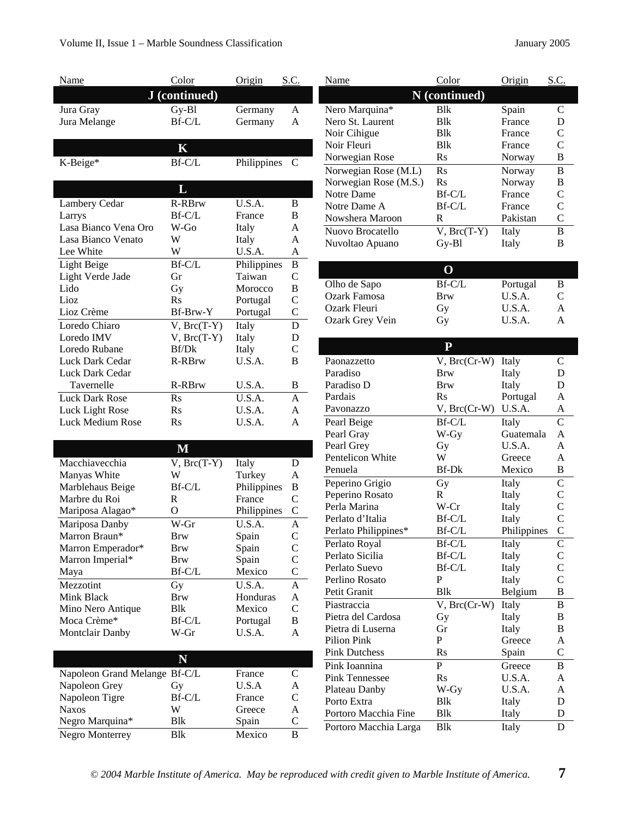| <b>Name</b>                               | Color            | <b>Origin</b>   | S.C.           |  |
|-------------------------------------------|------------------|-----------------|----------------|--|
|                                           | J (continued)    |                 |                |  |
| Jura Gray                                 | Gy-Bl            | Germany         | A              |  |
| Jura Melange                              | Bf-C/L           | Germany         | A              |  |
|                                           |                  |                 |                |  |
|                                           |                  |                 |                |  |
|                                           | $\mathbf K$      |                 |                |  |
| K-Beige*                                  | Bf-C/L           | Philippines     | C              |  |
|                                           |                  |                 |                |  |
|                                           | L                |                 |                |  |
| Lambery Cedar                             | <b>R-RBrw</b>    | U.S.A.          | B              |  |
| Larrys                                    | Bf-C/L           | France          | B              |  |
| Lasa Bianco Vena Oro                      | W-Go             | Italy           | A              |  |
| Lasa Bianco Venato                        | W                | Italy           | A              |  |
| Lee White                                 | W                | U.S.A.          | A              |  |
| Light Beige                               | Bf-C/L           | Philippines     | B              |  |
| Light Verde Jade                          | Gr               | Taiwan          | $\overline{C}$ |  |
| Lido                                      | Gy               | Morocco         | B              |  |
| Lioz                                      | $\rm Rs$         | Portugal        | $\mathcal{C}$  |  |
| Lioz Crème                                | Bf-Brw-Y         | Portugal        | $\mathbf C$    |  |
| Loredo Chiaro                             | $V$ , $Brc(T-Y)$ | Italy           | D              |  |
| Loredo IMV                                | $V$ , $Brc(T-Y)$ | Italy           | D              |  |
| Loredo Rubane                             | Bf/Dk            | Italy           | $\overline{C}$ |  |
| Luck Dark Cedar                           | <b>R-RBrw</b>    | U.S.A.          | B              |  |
| Luck Dark Cedar                           |                  |                 |                |  |
| Tavernelle                                | R-RBrw           | U.S.A.          | В              |  |
| <b>Luck Dark Rose</b>                     | Rs               | U.S.A.          | A              |  |
| Luck Light Rose                           | $\rm Rs$         | U.S.A.          | A              |  |
| Luck Medium Rose                          | $\rm Rs$         | U.S.A.          | A              |  |
|                                           |                  |                 |                |  |
|                                           |                  |                 |                |  |
|                                           |                  |                 |                |  |
|                                           | M                |                 |                |  |
| Macchiavecchia                            | $V$ , $Brc(T-Y)$ | Italy           | D              |  |
| Manyas White                              | W                | Turkey          | A              |  |
| Marblehaus Beige                          | Bf-C/L           | Philippines     | B              |  |
| Marbre du Roi                             | R<br>$\Omega$    | France          | $\overline{C}$ |  |
| Mariposa Alagao*                          |                  | Philippines     | $\overline{C}$ |  |
| Mariposa Danby                            | W-Gr             | U.S.A.          | A              |  |
| Marron Braun*                             | Brw              | Spain           | $\mathsf{C}$   |  |
| Marron Emperador*                         | Brw              | Spain           | $\mathsf{C}$   |  |
| Marron Imperial*                          | Brw              | Spain           | $\mathbf C$    |  |
| Maya                                      | Bf-C/L           | Mexico          | $\mathbf C$    |  |
| Mezzotint                                 | Gy               | U.S.A.          | A              |  |
| Mink Black                                | Brw              | Honduras        | A              |  |
| Mino Nero Antique                         | Blk              | Mexico          | $\mathsf{C}$   |  |
| Moca Crème*                               | Bf-C/L           | Portugal        | B              |  |
| <b>Montclair Danby</b>                    | W-Gr             | U.S.A.          | A              |  |
|                                           |                  |                 |                |  |
|                                           | N                |                 |                |  |
| Napoleon Grand Melange Bf-C/L             |                  | France          | $\mathsf{C}$   |  |
| Napoleon Grey                             | Gy               | U.S.A           | A              |  |
| Napoleon Tigre                            | Bf-C/L           | France          | $\mathsf{C}$   |  |
| <b>Naxos</b>                              | W                | Greece          | A              |  |
| Negro Marquina*<br><b>Negro Monterrey</b> | Blk<br>Blk       | Spain<br>Mexico | C<br>В         |  |

| Name                  | Color                 | Origin      | S.C.           |
|-----------------------|-----------------------|-------------|----------------|
|                       | N (continued)         |             |                |
| Nero Marquina*        | <b>B</b> lk           | Spain       | $\overline{C}$ |
| Nero St. Laurent      | <b>B</b> lk           | France      | D              |
| Noir Cihigue          | <b>B</b> lk           | France      | $\mathcal{C}$  |
| Noir Fleuri           | <b>B</b> <sub>k</sub> | France      | $\overline{C}$ |
| Norwegian Rose        | Rs                    | Norway      | B              |
| Norwegian Rose (M.L)  | Rs                    | Norway      | B              |
| Norwegian Rose (M.S.) | $\mathbf{R}$ s        | Norway      | B              |
| Notre Dame            | Bf-C/L                | France      | $\mathsf{C}$   |
| Notre Dame A          | Bf-C/L                | France      | $\overline{C}$ |
| Nowshera Maroon       | R                     | Pakistan    | $\overline{C}$ |
| Nuovo Brocatello      | $V$ , $Brc(T-Y)$      | Italy       | B              |
| Nuvoltao Apuano       | $Gy-B1$               | Italy       | B              |
|                       |                       |             |                |
|                       | $\mathbf O$           |             |                |
| Olho de Sapo          | Bf-C/L                | Portugal    | B              |
| <b>Ozark Famosa</b>   | Brw                   | U.S.A.      | $\mathsf{C}$   |
| Ozark Fleuri          |                       | U.S.A.      | A              |
| Ozark Grey Vein       | Gy<br>Gy              | U.S.A.      | A              |
|                       |                       |             |                |
|                       | ${\bf P}$             |             |                |
|                       |                       |             |                |
| Paonazzetto           | $V$ , $Brc(Cr-W)$     | Italy       | С              |
| Paradiso              | Brw                   | Italy       | D              |
| Paradiso D            | Brw                   | Italy       | D              |
| Pardais               | Rs                    | Portugal    | A              |
| Pavonazzo             | $V, Brc(Cr-W)$        | U.S.A.      | A              |
| Pearl Beige           | Bf-C/L                | Italy       | C              |
| Pearl Gray            | W-Gy                  | Guatemala   | A              |
| Pearl Grey            | Gy                    | U.S.A.      | A              |
| Pentelicon White      | W                     | Greece      | A              |
| Penuela               | Bf-Dk                 | Mexico      | B              |
| Peperino Grigio       | Gy                    | Italy       | $\overline{C}$ |
| Peperino Rosato       | R                     | Italy       | $\mathbf C$    |
| Perla Marina          | W-Cr                  | Italy       | $\overline{C}$ |
| Perlato d'Italia      | Bf-C/L                | Italy       | $\overline{C}$ |
| Perlato Philippines*  | Bf-C/L                | Philippines | $\overline{C}$ |
| Perlato Royal         | Bf-C/L                | Italy       | C              |
| Perlato Sicilia       | Bf-C/L                | Italy       | $\mathsf{C}$   |
| Perlato Suevo         | Bf-C/L                | Italy       | $\mathsf{C}$   |
| Perlino Rosato        | P                     | Italy       | $\overline{C}$ |
| Petit Granit          | Blk                   | Belgium     | B              |
| Piastraccia           | $V, Brc(Cr-W)$        | Italy       | B              |
| Pietra del Cardosa    | Gy                    | Italy       | B              |
| Pietra di Luserna     | Gr                    | Italy       | B              |
| <b>Pilion Pink</b>    | $\mathbf P$           | Greece      | A              |
| <b>Pink Dutchess</b>  | Rs                    | Spain       | $\mathsf{C}$   |
| Pink Ioannina         | $\mathbf P$           | Greece      | B              |
| <b>Pink Tennessee</b> | $\rm Rs$              | U.S.A.      | A              |
| Plateau Danby         | W-Gy                  | U.S.A.      | A              |
| Porto Extra           | Blk                   | Italy       | D              |
| Portoro Macchia Fine  | Blk                   | Italy       | D              |
| Portoro Macchia Larga | Blk                   | Italy       | D              |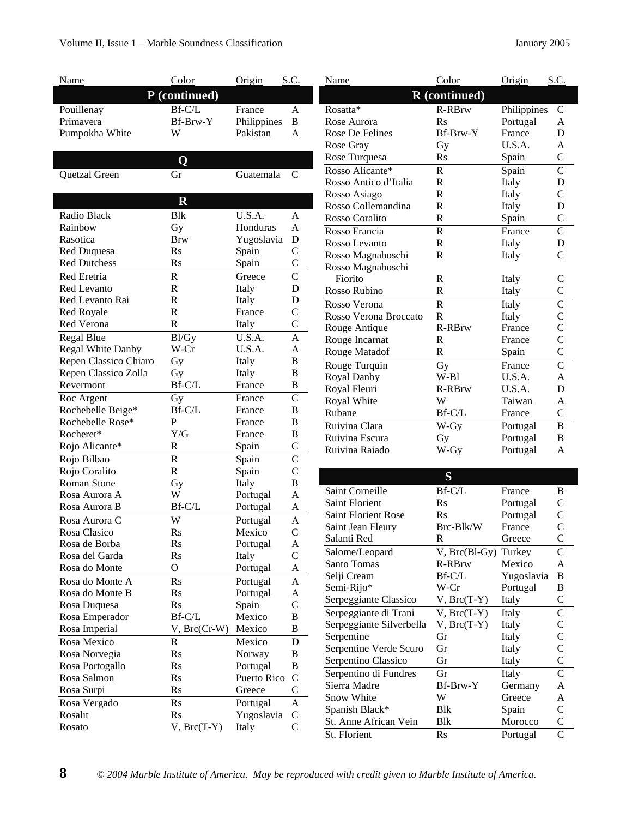| Name                                 | Color                | Origin                  | S.C.                |
|--------------------------------------|----------------------|-------------------------|---------------------|
|                                      | P (continued)        |                         |                     |
| Pouillenay                           | Bf-C/L               | France                  | A                   |
| Primavera                            | Bf-Brw-Y             | Philippines             | B                   |
| Pumpokha White                       | W                    | Pakistan                | A                   |
|                                      |                      |                         |                     |
|                                      | Ő                    |                         |                     |
|                                      | Gr                   | Guatemala               | C                   |
| Quetzal Green                        |                      |                         |                     |
|                                      |                      |                         |                     |
|                                      | $\mathbf R$          |                         |                     |
| Radio Black                          | <b>B</b> lk          | U.S.A.                  | A                   |
| Rainbow                              | Gy                   | Honduras                | A                   |
| Rasotica                             | <b>Brw</b>           | Yugoslavia              | D                   |
| Red Duquesa<br><b>Red Dutchess</b>   | R <sub>S</sub>       | Spain                   | $\overline{C}$      |
|                                      | $\mathbf{R}$ s       | Spain                   | $\mathsf{C}$        |
| Red Eretria                          | $\mathbb{R}$         | Greece                  | $\overline{\rm C}$  |
| <b>Red Levanto</b>                   | R                    | Italy                   | D                   |
| Red Levanto Rai                      | R                    | Italy                   | D                   |
| <b>Red Royale</b>                    | $\mathbf R$          | France                  | $\mathcal{C}$       |
| Red Verona                           | R                    | Italy                   | $\mathsf{C}$        |
| <b>Regal Blue</b>                    | Bl/Gy                | U.S.A.                  | A                   |
| <b>Regal White Danby</b>             | W-Cr                 | U.S.A.                  | A                   |
| Repen Classico Chiaro                | Gy                   | Italy                   | B                   |
| Repen Classico Zolla                 | Gy                   | Italy                   | B                   |
| Revermont                            | Bf-C/L               | France                  | B                   |
| Roc Argent                           | Gу                   | France                  | C                   |
| Rochebelle Beige*                    | Bf-C/L               | France                  | B                   |
| Rochebelle Rose*<br>Rocheret*        | P<br>Y/G             | France                  | B<br>B              |
|                                      | R                    | France                  | $\mathsf{C}$        |
| Rojo Alicante*                       |                      | Spain                   |                     |
| Rojo Bilbao                          | R                    | Spain                   | $\mathsf{C}$        |
| Rojo Coralito<br><b>Roman Stone</b>  | R                    | Spain                   | $\mathcal{C}$<br>B  |
| Rosa Aurora A                        | Gy<br>W              | Italy                   | A                   |
|                                      |                      | Portugal                |                     |
| Rosa Aurora B                        | Bf-C/L               | Portugal                | A                   |
| Rosa Aurora C<br><b>Rosa Clasico</b> | W                    | Portugal<br>Mexico      | A                   |
| Rosa de Borba                        | $\rm Rs$             |                         | $\overline{C}$      |
| Rosa del Garda                       | Rs<br>R <sub>S</sub> | Portugal<br>Italy       | A<br>$\overline{C}$ |
| Rosa do Monte                        | О                    |                         | A                   |
| Rosa do Monte A                      |                      | Portugal                |                     |
| Rosa do Monte B                      | Rs<br>Rs             | Portugal                | A<br>A              |
|                                      | <b>Rs</b>            | Portugal                | $\mathcal{C}$       |
| Rosa Duquesa<br>Rosa Emperador       | Bf-C/L               | Spain<br>Mexico         | B                   |
| Rosa Imperial                        | $V$ , $Brc(Cr-W)$    | Mexico                  | B                   |
|                                      |                      |                         |                     |
| Rosa Mexico                          | R                    | Mexico                  | D<br>B              |
| Rosa Norvegia                        | Rs<br><b>Rs</b>      | Norway                  | B                   |
| Rosa Portogallo<br>Rosa Salmon       | <b>Rs</b>            | Portugal<br>Puerto Rico | $\mathsf{C}$        |
|                                      | R <sub>S</sub>       | Greece                  | C                   |
| Rosa Surpi                           |                      |                         |                     |
| Rosa Vergado                         | <b>Rs</b>            | Portugal                | A<br>C              |
| Rosalit                              | <b>Rs</b>            | Yugoslavia              | C                   |
| Rosato                               | $V$ , $Brc(T-Y)$     | Italy                   |                     |

| Name                       | Color                   | Origin           | S.C.           |
|----------------------------|-------------------------|------------------|----------------|
|                            | R (continued)           |                  |                |
| Rosatta*                   | <b>R-RBrw</b>           | Philippines      | C              |
| Rose Aurora                | Rs                      | Portugal         | A              |
| Rose De Felines            | Bf-Brw-Y                | France           | D              |
| Rose Gray                  | Gy                      | U.S.A.           | A              |
| Rose Turquesa              | $\mathbf{R}$ s          | Spain            | $\mathsf{C}$   |
| Rosso Alicante*            | $\mathbb{R}$            | Spain            | $\overline{C}$ |
| Rosso Antico d'Italia      | R                       | Italy            | D              |
| Rosso Asiago               | $\mathsf{R}$            | Italy            | $\overline{C}$ |
| Rosso Collemandina         | R                       | Italy            | D              |
| Rosso Coralito             | R                       | Spain            | $\mathsf{C}$   |
| Rosso Francia              | $\mathsf{R}$            | France           | $\overline{C}$ |
| Rosso Levanto              | R                       | Italy            | D              |
| Rosso Magnaboschi          | R                       | Italy            | C              |
| Rosso Magnaboschi          |                         |                  |                |
| Fiorito                    | R                       | Italy            | С              |
| Rosso Rubino               | $\mathsf{R}$            | Italy            | $\mathsf{C}$   |
| Rosso Verona               | $\mathbf R$             | Italy            | $\overline{C}$ |
| Rosso Verona Broccato      | $\mathbf R$             | Italy            | $\mathsf{C}$   |
| Rouge Antique              | <b>R-RBrw</b>           | France           | $\mathbf C$    |
|                            | R                       | France           | $\overline{C}$ |
| Rouge Incarnat             | $\mathbb{R}$            |                  | $\mathbf C$    |
| Rouge Matadof              |                         | Spain            | $\overline{C}$ |
| Rouge Turquin              | Gy                      | France           |                |
| Royal Danby                | $W-B1$<br><b>R-RBrw</b> | U.S.A.<br>U.S.A. | A<br>D         |
| Royal Fleuri               | W                       | Taiwan           | A              |
| Royal White                | $\rm Bf\text{-}C/L$     |                  | $\mathcal{C}$  |
| Rubane                     |                         | France           |                |
| Ruivina Clara              | W-Gy                    | Portugal         | B              |
| Ruivina Escura             | Gy                      | Portugal         | B              |
| Ruivina Raiado             | W-Gy                    | Portugal         | A              |
|                            | S                       |                  |                |
| Saint Corneille            | Bf-C/L                  | France           | В              |
| <b>Saint Florient</b>      | Rs                      | Portugal         | C              |
| <b>Saint Florient Rose</b> | Rs                      | Portugal         | $\mathsf{C}$   |
| Saint Jean Fleury          | Brc-Blk/W               | France           | $\overline{C}$ |
| Salanti Red                | R                       | Greece           | $\mathsf{C}$   |
| Salome/Leopard             | $V$ , $Brc(B1-Gy)$      | Turkey           | $\overline{C}$ |
| Santo Tomas                | R-RBrw                  | Mexico           | A              |
| Selji Cream                | Bf-C/L                  | Yugoslavia       | B              |
| Semi-Rijo*                 | W-Cr                    | Portugal         | B              |
| Serpeggiante Classico      | $V$ , $Brc(T-Y)$        | Italy            | $\mathsf C$    |
| Serpeggiante di Trani      | $V, Brc(T-Y)$           | Italy            | C              |
| Serpeggiante Silverbella   | $V, Brc(T-Y)$           | Italy            | $\mathsf{C}$   |
| Serpentine                 | Gr                      | Italy            | $\mathbf C$    |
| Serpentine Verde Scuro     | Gr                      | Italy            | $\mathsf C$    |
| Serpentino Classico        | Gr                      | Italy            | $\overline{C}$ |
| Serpentino di Fundres      | Gr                      | Italy            | C              |
| Sierra Madre               | Bf-Brw-Y                | Germany          | A              |
| Snow White                 | W                       | Greece           | A              |
| Spanish Black*             | Blk                     | Spain            | $\mathsf{C}$   |
| St. Anne African Vein      | Blk                     | Morocco          | $\mathsf{C}$   |
| St. Florient               | Rs                      | Portugal         | $\overline{C}$ |
|                            |                         |                  |                |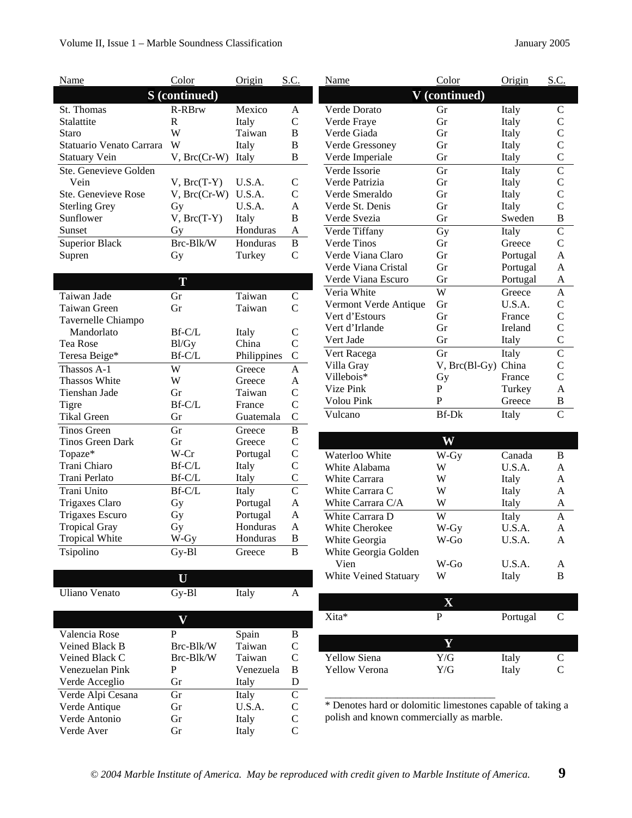I

 $\overline{\phantom{a}}$ 

| Name                     | Color             | Origin      | $S.$ $C.$      |  |
|--------------------------|-------------------|-------------|----------------|--|
| <b>S</b> (continued)     |                   |             |                |  |
| St. Thomas               | <b>R-RBrw</b>     | Mexico      | A              |  |
| Stalattite               | R                 | Italy       | $\overline{C}$ |  |
| Staro                    | W                 | Taiwan      | В              |  |
| Statuario Venato Carrara | W                 | Italy       | B              |  |
| <b>Statuary Vein</b>     | V, Brc(Cr-W)      | Italy       | B              |  |
| Ste. Genevieve Golden    |                   |             |                |  |
| Vein                     | $V$ , $Brc(T-Y)$  | U.S.A.      | C              |  |
| Ste. Genevieve Rose      | $V$ , $Brc(Cr-W)$ | U.S.A.      | $\overline{C}$ |  |
| <b>Sterling Grey</b>     | Gy                | U.S.A.      | A              |  |
| Sunflower                | $V$ , $Brc(T-Y)$  | Italy       | B              |  |
| Sunset                   | Gу                | Honduras    | A              |  |
| <b>Superior Black</b>    | Brc-Blk/W         | Honduras    | B              |  |
| Supren                   | Gy                | Turkey      | $\overline{C}$ |  |
|                          |                   |             |                |  |
|                          | T                 |             |                |  |
| Taiwan Jade              | Gr                | Taiwan      | C              |  |
| Taiwan Green             | Gr                | Taiwan      | $\overline{C}$ |  |
| Tavernelle Chiampo       |                   |             |                |  |
| Mandorlato               | Bf-C/L            | Italy       | C              |  |
| Tea Rose                 | Bl/Gy             | China       | $\overline{C}$ |  |
| Teresa Beige*            | Bf-C/L            | Philippines | $\mathsf{C}$   |  |
| Thassos A-1              | W                 | Greece      | A              |  |
| <b>Thassos White</b>     | W                 | Greece      | A              |  |
| Tienshan Jade            | Gr                | Taiwan      | $\overline{C}$ |  |
| Tigre                    | Bf-C/L            | France      | $\overline{C}$ |  |
| <b>Tikal Green</b>       | Gr                | Guatemala   | $\overline{C}$ |  |
| <b>Tinos Green</b>       | Gr                | Greece      | B              |  |
| Tinos Green Dark         | Gr                | Greece      | $\overline{C}$ |  |
| Topaze*                  | W-Cr              | Portugal    | $\overline{C}$ |  |
| Trani Chiaro             | Bf-C/L            | Italy       | $\overline{C}$ |  |
| Trani Perlato            | Bf-C/L            | Italy       | $\overline{C}$ |  |
| Trani Unito              | Bf-C/L            | Italy       | $\overline{C}$ |  |
| Trigaxes Claro           | Gy                | Portugal    | A              |  |
| <b>Trigaxes Escuro</b>   | Gy                | Portugal    | A              |  |
| <b>Tropical Gray</b>     | Gy                | Honduras    | A              |  |
| <b>Tropical White</b>    | W-Gy              | Honduras    | в              |  |
| Tsipolino                | Gy-Bl             | Greece      | В              |  |

| Uliano Venato     | $Gv-B1$   | Italy     | А |
|-------------------|-----------|-----------|---|
|                   |           |           |   |
|                   |           |           |   |
| Valencia Rose     | P         | Spain     | в |
| Veined Black B    | Brc-Blk/W | Taiwan    | C |
| Veined Black C    | Brc-Blk/W | Taiwan    | C |
| Venezuelan Pink   | P         | Venezuela | B |
| Verde Acceglio    | Gr        | Italy     | D |
| Verde Alpi Cesana | Gr        | Italy     | C |
| Verde Antique     | Gr        | U.S.A.    | C |
| Verde Antonio     | Gr        | Italy     | C |
| Verde Aver        | Gr        | Italy     | C |

| Name                  | Color              | Origin   | S.C.               |  |
|-----------------------|--------------------|----------|--------------------|--|
| V (continued)         |                    |          |                    |  |
| Verde Dorato          | Gr                 | Italy    | C                  |  |
| Verde Fraye           | Gr                 | Italy    | $\mathsf{C}$       |  |
| Verde Giada           | Gr                 | Italy    | $\mathsf C$        |  |
| Verde Gressoney       | Gr                 | Italy    | $\mathsf{C}$       |  |
| Verde Imperiale       | Gr                 | Italy    | $\overline{C}$     |  |
| Verde Issorie         | Gr                 | Italy    | $\overline{\rm C}$ |  |
| Verde Patrizia        | Gr                 | Italy    | C                  |  |
| Verde Smeraldo        | Gr                 | Italy    | $\overline{C}$     |  |
| Verde St. Denis       | Gr                 | Italy    | $\overline{C}$     |  |
| Verde Svezia          | Gr                 | Sweden   | B                  |  |
| Verde Tiffany         | Gy                 | Italy    | $\overline{C}$     |  |
| Verde Tinos           | Gr                 | Greece   | $\mathsf{C}$       |  |
| Verde Viana Claro     | Gr                 | Portugal | A                  |  |
| Verde Viana Cristal   | Gr                 | Portugal | $\mathsf{A}$       |  |
| Verde Viana Escuro    | Gr                 | Portugal | A                  |  |
| Veria White           | W                  | Greece   | A                  |  |
| Vermont Verde Antique | Gr                 | U.S.A.   | $\mathsf{C}$       |  |
| Vert d'Estours        | Gr                 | France   | $\mathsf C$        |  |
| Vert d'Irlande        | Gr                 | Ireland  | $\overline{\rm C}$ |  |
| Vert Jade             | Gr                 | Italy    | $\overline{\rm C}$ |  |
| Vert Racega           | Gr                 | Italy    | $\overline{\rm C}$ |  |
| Villa Gray            | $V$ , $Brc(B1-Gy)$ | China    | C                  |  |
| Villebois*            | Gу                 | France   | $\overline{C}$     |  |
| Vize Pink             | P                  | Turkey   | A                  |  |
| Volou Pink            | P                  | Greece   | B                  |  |
| Vulcano               | $Bf-Dk$            | Italy    | $\overline{C}$     |  |

| Waterloo White               | W-Gy   | Canada | в |
|------------------------------|--------|--------|---|
| White Alabama                | W      | U.S.A. | A |
| White Carrara                | W      | Italy  | A |
| White Carrara C              | W      | Italy  | A |
| White Carrara C/A            | W      | Italy  | A |
| White Carrara D              | W      | Italy  | A |
| White Cherokee               | W-Gy   | U.S.A. | A |
| White Georgia                | $W-Go$ | U.S.A. | A |
| White Georgia Golden         |        |        |   |
| Vien                         | W-Go   | U.S.A. | A |
| <b>White Veined Statuary</b> | W      | Italy  | В |
|                              |        |        |   |

| Р   | Portugal | C         |
|-----|----------|-----------|
|     |          |           |
|     |          |           |
| Y/G | Italy    | C         |
| Y/G | Italy    | $\subset$ |
|     |          |           |

\* Denotes hard or dolomitic limestones capable of taking a polish and known commercially as marble.

\_\_\_\_\_\_\_\_\_\_\_\_\_\_\_\_\_\_\_\_\_\_\_\_\_\_\_\_\_\_\_\_\_